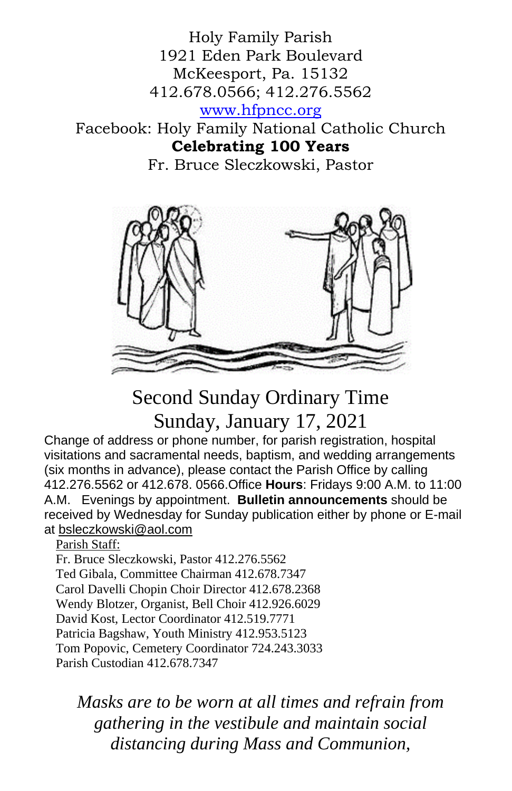Holy Family Parish 1921 Eden Park Boulevard McKeesport, Pa. 15132 412.678.0566; 412.276.5562 [www.hfpncc.org](http://www.hfpncc.org/) Facebook: Holy Family National Catholic Church

**Celebrating 100 Years**

Fr. Bruce Sleczkowski, Pastor



# Second Sunday Ordinary Time Sunday, January 17, 2021

Change of address or phone number, for parish registration, hospital visitations and sacramental needs, baptism, and wedding arrangements (six months in advance), please contact the Parish Office by calling 412.276.5562 or 412.678. 0566.Office **Hours**: Fridays 9:00 A.M. to 11:00 A.M. Evenings by appointment. **Bulletin announcements** should be received by Wednesday for Sunday publication either by phone or E-mail at [bsleczkowski@aol.com](mailto:bsleczkowski@aol.com)

Parish Staff:

Fr. Bruce Sleczkowski, Pastor 412.276.5562 Ted Gibala, Committee Chairman 412.678.7347 Carol Davelli Chopin Choir Director 412.678.2368 Wendy Blotzer, Organist, Bell Choir 412.926.6029 David Kost, Lector Coordinator 412.519.7771 Patricia Bagshaw, Youth Ministry 412.953.5123 Tom Popovic, Cemetery Coordinator 724.243.3033 Parish Custodian 412.678.7347

*Masks are to be worn at all times and refrain from gathering in the vestibule and maintain social distancing during Mass and Communion,*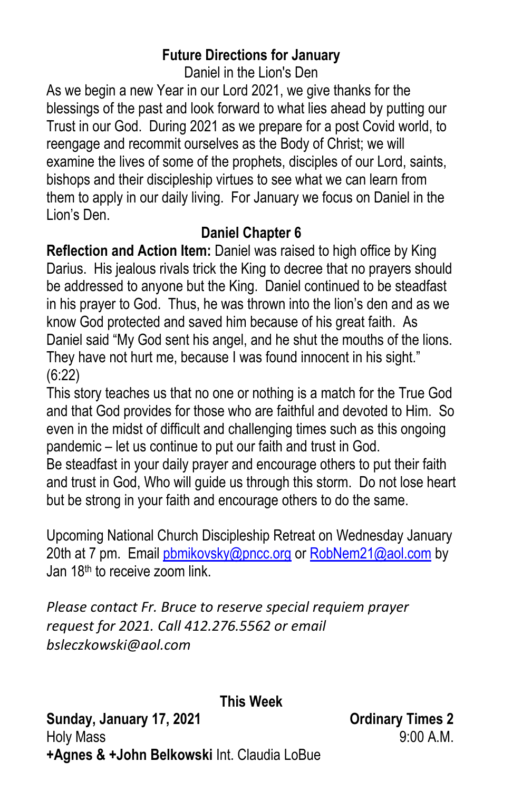### **Future Directions for January**

Daniel in the Lion's Den

As we begin a new Year in our Lord 2021, we give thanks for the blessings of the past and look forward to what lies ahead by putting our Trust in our God. During 2021 as we prepare for a post Covid world, to reengage and recommit ourselves as the Body of Christ; we will examine the lives of some of the prophets, disciples of our Lord, saints, bishops and their discipleship virtues to see what we can learn from them to apply in our daily living. For January we focus on Daniel in the Lion's Den.

## **Daniel Chapter 6**

**Reflection and Action Item:** Daniel was raised to high office by King Darius. His jealous rivals trick the King to decree that no prayers should be addressed to anyone but the King. Daniel continued to be steadfast in his prayer to God. Thus, he was thrown into the lion's den and as we know God protected and saved him because of his great faith. As Daniel said "My God sent his angel, and he shut the mouths of the lions. They have not hurt me, because I was found innocent in his sight." (6:22)

This story teaches us that no one or nothing is a match for the True God and that God provides for those who are faithful and devoted to Him. So even in the midst of difficult and challenging times such as this ongoing pandemic – let us continue to put our faith and trust in God.

Be steadfast in your daily prayer and encourage others to put their faith and trust in God, Who will guide us through this storm. Do not lose heart but be strong in your faith and encourage others to do the same.

Upcoming National Church Discipleship Retreat on Wednesday January 20th at 7 pm. Email [pbmikovsky@pncc.org](mailto:pbmikovsky@pncc.org) or [RobNem21@aol.com](mailto:RobNem21@aol.com) by Jan 18th to receive zoom link.

*Please contact Fr. Bruce to reserve special requiem prayer request for 2021. Call 412.276.5562 or email bsleczkowski@aol.com*

**This Week** 

Sunday, January 17, 2021 **Canada Care and American Care and America** Critical Sunday, 1980 Holy Mass 9:00 A.M. **+Agnes & +John Belkowski** Int. Claudia LoBue